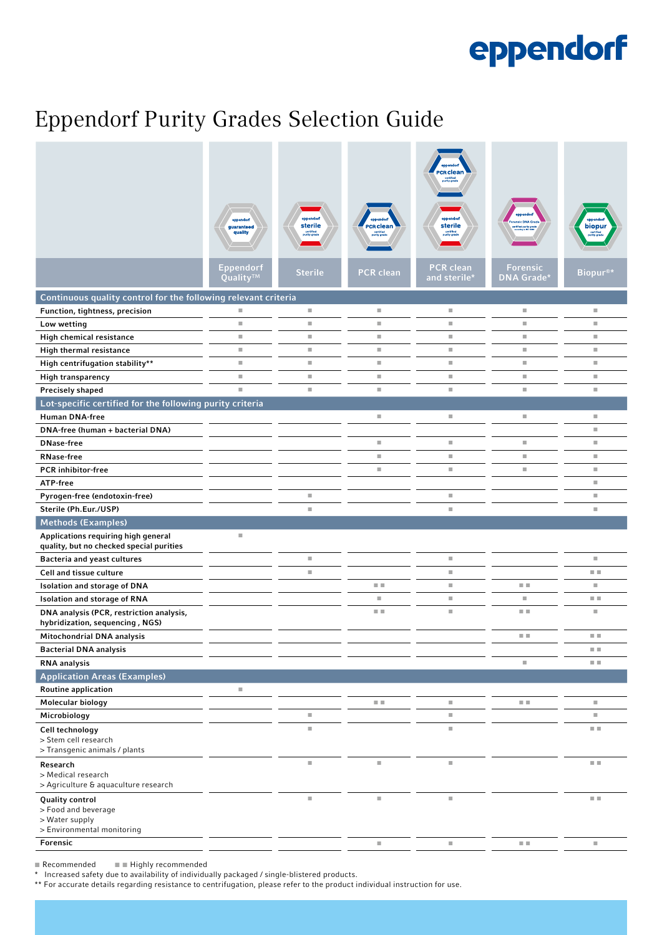# eppendorf

## Eppendorf Purity Grades Selection Guide

|                                                                                               | guaranteed<br>quality    | eppend<br>sterile<br>certified<br>purity grade | <b>CR</b> clean  | eppendor<br>sterile<br>certified<br>purity grade | ified purity gra                     | biopur               |
|-----------------------------------------------------------------------------------------------|--------------------------|------------------------------------------------|------------------|--------------------------------------------------|--------------------------------------|----------------------|
|                                                                                               | Eppendorf<br>Quality™    | <b>Sterile</b>                                 | <b>PCR clean</b> | <b>PCR clean</b><br>and sterile*                 | <b>Forensic</b><br><b>DNA Grade*</b> | Biopur <sup>®*</sup> |
| Continuous quality control for the following relevant criteria                                |                          |                                                |                  |                                                  |                                      |                      |
| Function, tightness, precision                                                                | ш                        | $\overline{\phantom{a}}$                       | ш                | ш                                                | u,                                   | ш                    |
| Low wetting                                                                                   | ш                        | $\overline{\phantom{a}}$                       | ш                | $\mathbb{R}^n$                                   | ш                                    | u,                   |
| High chemical resistance                                                                      | ш                        | $\overline{\phantom{a}}$                       | ш                | $\mathbb{R}^n$                                   | ш                                    | u,                   |
| High thermal resistance                                                                       | $\blacksquare$           | U.                                             | ш                | $\mathbb{R}^n$                                   | ш                                    | u,                   |
| High centrifugation stability**                                                               | u,                       | ш                                              | u,               | ш                                                | u,                                   | u,                   |
| High transparency                                                                             | u,                       | $\overline{\phantom{a}}$                       | ш                | $\mathbb{R}^n$                                   | u,                                   | u,                   |
| Precisely shaped                                                                              | n.                       | $\overline{\phantom{a}}$                       | ш                | $\mathbb{R}^n$                                   | ш                                    | ш                    |
| Lot-specific certified for the following purity criteria                                      |                          |                                                |                  |                                                  |                                      |                      |
| <b>Human DNA-free</b>                                                                         |                          |                                                | ш                | ш                                                | ш                                    | ш                    |
| DNA-free (human + bacterial DNA)                                                              |                          |                                                |                  |                                                  |                                      | u,                   |
| <b>DNase-free</b>                                                                             |                          |                                                | ш                | ш                                                | ш                                    | u,                   |
| <b>RNase-free</b>                                                                             |                          |                                                | ш                | $\mathbb{R}^n$                                   | u,                                   | u,                   |
| <b>PCR</b> inhibitor-free                                                                     |                          |                                                | u,               | $\mathbb{R}^n$                                   | u,                                   | u,                   |
| ATP-free                                                                                      |                          |                                                |                  |                                                  |                                      | u,                   |
| Pyrogen-free (endotoxin-free)                                                                 |                          | u,                                             |                  | ш                                                |                                      | u,                   |
| Sterile (Ph.Eur./USP)                                                                         |                          | $\overline{\phantom{a}}$                       |                  | $\mathbb{R}^d$                                   |                                      | $\mathbb{R}^d$       |
| <b>Methods (Examples)</b>                                                                     |                          |                                                |                  |                                                  |                                      |                      |
| Applications requiring high general                                                           | $\blacksquare$           |                                                |                  |                                                  |                                      |                      |
| quality, but no checked special purities                                                      |                          | $\overline{\phantom{a}}$                       |                  | $\mathbb{R}^n$                                   |                                      | ш                    |
| <b>Bacteria and yeast cultures</b>                                                            |                          |                                                |                  |                                                  |                                      |                      |
| Cell and tissue culture                                                                       |                          | $\overline{\phantom{a}}$                       |                  | $\mathbb{R}^d$                                   |                                      | 日本                   |
| <b>Isolation and storage of DNA</b>                                                           |                          |                                                | 日目               | $\mathbb{R}^d$                                   | 日本                                   | ш                    |
| <b>Isolation and storage of RNA</b>                                                           |                          |                                                | ш                | $\mathbb{R}^n$                                   | ш                                    | 日本                   |
| DNA analysis (PCR, restriction analysis,<br>hybridization, sequencing, NGS)                   |                          |                                                | 医肌               | ×                                                | 医肌                                   | ш                    |
| Mitochondrial DNA analysis                                                                    |                          |                                                |                  |                                                  | . .                                  | m m                  |
| <b>Bacterial DNA analysis</b>                                                                 |                          |                                                |                  |                                                  |                                      | 日本                   |
| <b>RNA</b> analysis                                                                           |                          |                                                |                  |                                                  | Ì.                                   | 日本                   |
| <b>Application Areas (Examples)</b>                                                           |                          |                                                |                  |                                                  |                                      |                      |
| <b>Routine application</b>                                                                    | $\overline{\phantom{a}}$ |                                                |                  |                                                  |                                      |                      |
| Molecular biology                                                                             |                          |                                                | 日目               | ш                                                | a a                                  | u,                   |
| Microbiology                                                                                  |                          | $\overline{\phantom{a}}$                       |                  | $\mathbb{R}^n$                                   |                                      | u,                   |
| Cell technology<br>> Stem cell research<br>> Transgenic animals / plants                      |                          | $\overline{\phantom{a}}$                       |                  | $\mathbb{R}^n$                                   |                                      | 日目                   |
| Research<br>> Medical research<br>> Agriculture & aquaculture research                        |                          | ш                                              | ш                | $\mathbb{R}^n$                                   |                                      | 日目                   |
| <b>Quality control</b><br>> Food and beverage<br>> Water supply<br>> Environmental monitoring |                          | ×                                              | ш                | ш                                                |                                      | E E                  |
| Forensic                                                                                      |                          |                                                | ш                | $\blacksquare$                                   | 日目                                   | $\blacksquare$       |
|                                                                                               |                          |                                                |                  |                                                  |                                      |                      |

■ Recommended ■ ■ Highly recommended

\* Increased safety due to availability of individually packaged / single-blistered products.

\*\* For accurate details regarding resistance to centrifugation, please refer to the product individual instruction for use.